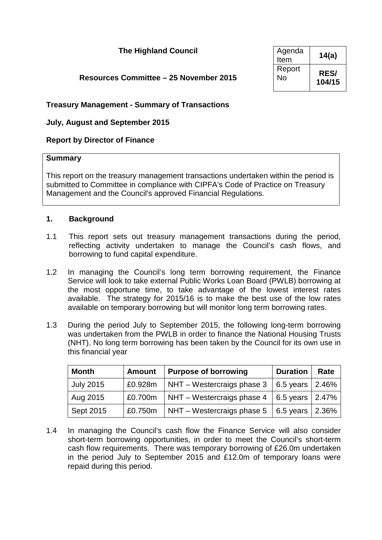### **The Highland Council**

### **Resources Committee – 25 November 2015**

| Agenda<br>Item | 14(a)       |
|----------------|-------------|
| Report         | <b>RES/</b> |
| No             | 104/15      |

### **Treasury Management - Summary of Transactions**

### **July, August and September 2015**

### **Report by Director of Finance**

### **Summary**

This report on the treasury management transactions undertaken within the period is submitted to Committee in compliance with CIPFA's Code of Practice on Treasury Management and the Council's approved Financial Regulations.

### **1. Background**

- 1.1 This report sets out treasury management transactions during the period, reflecting activity undertaken to manage the Council's cash flows, and borrowing to fund capital expenditure.
- 1.2 In managing the Council's long term borrowing requirement, the Finance Service will look to take external Public Works Loan Board (PWLB) borrowing at the most opportune time, to take advantage of the lowest interest rates available. The strategy for 2015/16 is to make the best use of the low rates available on temporary borrowing but will monitor long term borrowing rates.
- 1.3 During the period July to September 2015, the following long-term borrowing was undertaken from the PWLB in order to finance the National Housing Trusts (NHT). No long term borrowing has been taken by the Council for its own use in this financial year

| <b>Month</b>     | <b>Amount</b> | <b>Purpose of borrowing</b> | <b>Duration</b>      | Rate |
|------------------|---------------|-----------------------------|----------------------|------|
| <b>July 2015</b> | £0.928m       | NHT – Westercraigs phase 3  | 6.5 years $ 2.46\%$  |      |
| Aug 2015         | £0.700m       | NHT - Westercraigs phase 4  | 6.5 years $ 2.47\%$  |      |
| Sept 2015        | £0.750m       | NHT – Westercraigs phase 5  | 6.5 years $ 2.36\% $ |      |

1.4 In managing the Council's cash flow the Finance Service will also consider short-term borrowing opportunities, in order to meet the Council's short-term cash flow requirements. There was temporary borrowing of £26.0m undertaken in the period July to September 2015 and £12.0m of temporary loans were repaid during this period.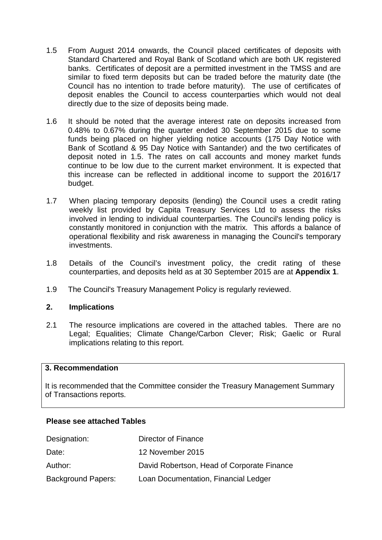- 1.5 From August 2014 onwards, the Council placed certificates of deposits with Standard Chartered and Royal Bank of Scotland which are both UK registered banks. Certificates of deposit are a permitted investment in the TMSS and are similar to fixed term deposits but can be traded before the maturity date (the Council has no intention to trade before maturity). The use of certificates of deposit enables the Council to access counterparties which would not deal directly due to the size of deposits being made.
- 1.6 It should be noted that the average interest rate on deposits increased from 0.48% to 0.67% during the quarter ended 30 September 2015 due to some funds being placed on higher yielding notice accounts (175 Day Notice with Bank of Scotland & 95 Day Notice with Santander) and the two certificates of deposit noted in 1.5. The rates on call accounts and money market funds continue to be low due to the current market environment. It is expected that this increase can be reflected in additional income to support the 2016/17 budget.
- 1.7 When placing temporary deposits (lending) the Council uses a credit rating weekly list provided by Capita Treasury Services Ltd to assess the risks involved in lending to individual counterparties. The Council's lending policy is constantly monitored in conjunction with the matrix. This affords a balance of operational flexibility and risk awareness in managing the Council's temporary investments.
- 1.8 Details of the Council's investment policy, the credit rating of these counterparties, and deposits held as at 30 September 2015 are at **Appendix 1**.
- 1.9 The Council's Treasury Management Policy is regularly reviewed.

### **2. Implications**

2.1 The resource implications are covered in the attached tables. There are no Legal; Equalities; Climate Change/Carbon Clever; Risk; Gaelic or Rural implications relating to this report.

#### **3. Recommendation**

It is recommended that the Committee consider the Treasury Management Summary of Transactions reports.

#### **Please see attached Tables**

| Designation:              | Director of Finance                        |
|---------------------------|--------------------------------------------|
| Date:                     | 12 November 2015                           |
| Author:                   | David Robertson, Head of Corporate Finance |
| <b>Background Papers:</b> | Loan Documentation, Financial Ledger       |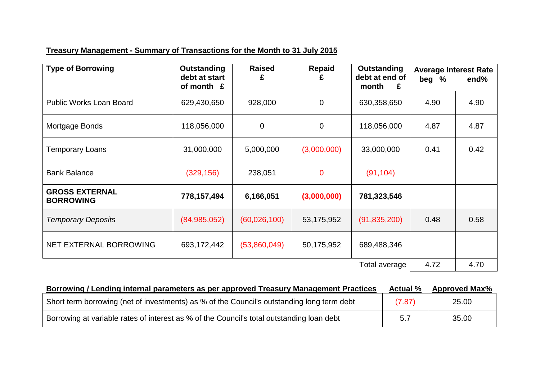# **Treasury Management - Summary of Transactions for the Month to 31 July 2015**

| <b>Type of Borrowing</b>                  | <b>Outstanding</b><br>debt at start<br>of month £ | <b>Raised</b><br>£ | <b>Repaid</b>  | <b>Outstanding</b><br>debt at end of<br>month<br>£ | <b>Average Interest Rate</b><br>beg % | end% |
|-------------------------------------------|---------------------------------------------------|--------------------|----------------|----------------------------------------------------|---------------------------------------|------|
| <b>Public Works Loan Board</b>            | 629,430,650                                       | 928,000            | $\overline{0}$ | 630,358,650                                        | 4.90                                  | 4.90 |
| Mortgage Bonds                            | 118,056,000                                       | $\overline{0}$     | $\overline{0}$ | 118,056,000                                        | 4.87                                  | 4.87 |
| Temporary Loans                           | 31,000,000                                        | 5,000,000          | (3,000,000)    | 33,000,000                                         | 0.41                                  | 0.42 |
| <b>Bank Balance</b>                       | (329, 156)                                        | 238,051            | $\mathbf 0$    | (91, 104)                                          |                                       |      |
| <b>GROSS EXTERNAL</b><br><b>BORROWING</b> | 778,157,494                                       | 6,166,051          | (3,000,000)    | 781,323,546                                        |                                       |      |
| <b>Temporary Deposits</b>                 | (84, 985, 052)                                    | (60,026,100)       | 53,175,952     | (91, 835, 200)                                     | 0.48                                  | 0.58 |
| NET EXTERNAL BORROWING                    | 693,172,442                                       | (53,860,049)       | 50,175,952     | 689,488,346                                        |                                       |      |
|                                           |                                                   |                    |                | Total average                                      | 4.72                                  | 4.70 |

| Borrowing / Lending internal parameters as per approved Treasury Management Practices      | <b>Actual</b> % | <b>Approved Max%</b> |
|--------------------------------------------------------------------------------------------|-----------------|----------------------|
| Short term borrowing (net of investments) as % of the Council's outstanding long term debt | (7.87)          | 25.00                |
| Borrowing at variable rates of interest as % of the Council's total outstanding loan debt  | 5.7             | 35.00                |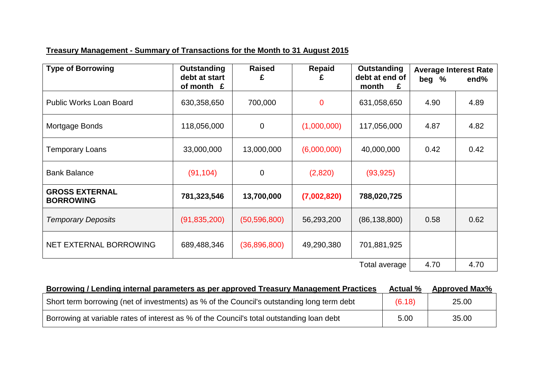# **Treasury Management - Summary of Transactions for the Month to 31 August 2015**

| <b>Type of Borrowing</b>                  | <b>Outstanding</b><br>debt at start<br>of month $E$ | <b>Raised</b><br>£ | <b>Repaid</b> | Outstanding<br>debt at end of<br>month<br>£ | <b>Average Interest Rate</b><br>beg % | end% |
|-------------------------------------------|-----------------------------------------------------|--------------------|---------------|---------------------------------------------|---------------------------------------|------|
| <b>Public Works Loan Board</b>            | 630,358,650                                         | 700,000            | $\mathbf 0$   | 631,058,650                                 | 4.90                                  | 4.89 |
| Mortgage Bonds                            | 118,056,000                                         | $\overline{0}$     | (1,000,000)   | 117,056,000                                 | 4.87                                  | 4.82 |
| Temporary Loans                           | 33,000,000                                          | 13,000,000         | (6,000,000)   | 40,000,000                                  | 0.42                                  | 0.42 |
| <b>Bank Balance</b>                       | (91, 104)                                           | $\mathbf 0$        | (2,820)       | (93, 925)                                   |                                       |      |
| <b>GROSS EXTERNAL</b><br><b>BORROWING</b> | 781,323,546                                         | 13,700,000         | (7,002,820)   | 788,020,725                                 |                                       |      |
| <b>Temporary Deposits</b>                 | (91, 835, 200)                                      | (50, 596, 800)     | 56,293,200    | (86, 138, 800)                              | 0.58                                  | 0.62 |
| NET EXTERNAL BORROWING                    | 689,488,346                                         | (36,896,800)       | 49,290,380    | 701,881,925                                 |                                       |      |
|                                           |                                                     |                    |               | Total average                               | 4.70                                  | 4.70 |

| Borrowing / Lending internal parameters as per approved Treasury Management Practices      | <b>Actual</b> % | <b>Approved Max%</b> |
|--------------------------------------------------------------------------------------------|-----------------|----------------------|
| Short term borrowing (net of investments) as % of the Council's outstanding long term debt | (6.18)          | 25.00                |
| Borrowing at variable rates of interest as % of the Council's total outstanding loan debt  | 5.00            | 35.00                |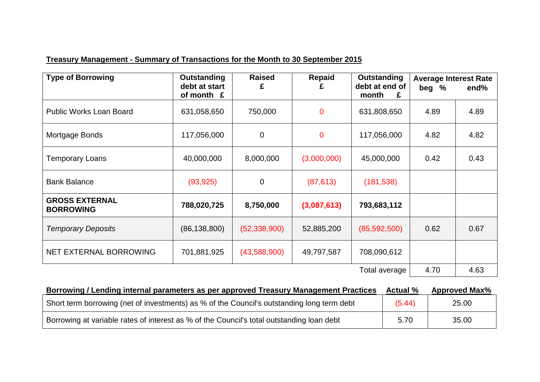## **Treasury Management - Summary of Transactions for the Month to 30 September 2015**

| <b>Type of Borrowing</b>                  | <b>Outstanding</b><br>debt at start<br>of month £ | <b>Raised</b><br>£ | <b>Repaid</b>  | Outstanding<br>debt at end of<br>month<br>£ | <b>Average Interest Rate</b><br>beg % | end% |
|-------------------------------------------|---------------------------------------------------|--------------------|----------------|---------------------------------------------|---------------------------------------|------|
| <b>Public Works Loan Board</b>            | 631,058,650                                       | 750,000            | $\mathbf{0}$   | 631,808,650                                 | 4.89                                  | 4.89 |
| Mortgage Bonds                            | 117,056,000                                       | $\mathbf 0$        | $\overline{0}$ | 117,056,000                                 | 4.82                                  | 4.82 |
| Temporary Loans                           | 40,000,000                                        | 8,000,000          | (3,000,000)    | 45,000,000                                  | 0.42                                  | 0.43 |
| <b>Bank Balance</b>                       | (93, 925)                                         | $\mathbf 0$        | (87, 613)      | (181, 538)                                  |                                       |      |
| <b>GROSS EXTERNAL</b><br><b>BORROWING</b> | 788,020,725                                       | 8,750,000          | (3,087,613)    | 793,683,112                                 |                                       |      |
| <b>Temporary Deposits</b>                 | (86, 138, 800)                                    | (52, 338, 900)     | 52,885,200     | (85, 592, 500)                              | 0.62                                  | 0.67 |
| NET EXTERNAL BORROWING                    | 701,881,925                                       | (43,588,900)       | 49,797,587     | 708,090,612                                 |                                       |      |
|                                           |                                                   |                    |                | Total average                               | 4.70                                  | 4.63 |

| Borrowing / Lending internal parameters as per approved Treasury Management Practices      | <b>Actual</b> % | <b>Approved Max%</b> |
|--------------------------------------------------------------------------------------------|-----------------|----------------------|
| Short term borrowing (net of investments) as % of the Council's outstanding long term debt | (5.44)          | 25.00                |
| Borrowing at variable rates of interest as % of the Council's total outstanding loan debt  | 5.70            | 35.00                |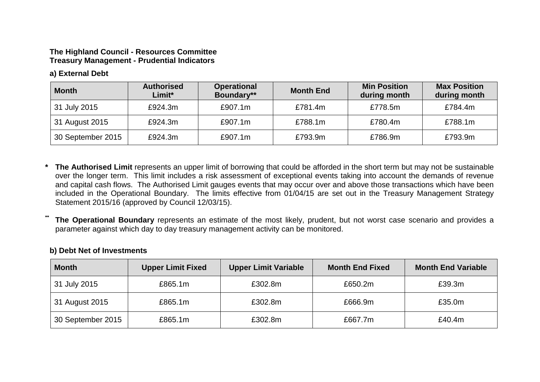### **The Highland Council - Resources Committee Treasury Management - Prudential Indicators**

### **a) External Debt**

| <b>Month</b>      | <b>Authorised</b><br>Limit* | <b>Operational</b><br>Boundary** | <b>Month End</b> | <b>Min Position</b><br>during month | <b>Max Position</b><br>during month |
|-------------------|-----------------------------|----------------------------------|------------------|-------------------------------------|-------------------------------------|
| 31 July 2015      | £924.3m                     | £907.1m                          | £781.4m          | £778.5m                             | £784.4m                             |
| 31 August 2015    | £924.3m                     | £907.1m                          | £788.1m          | £780.4m                             | £788.1m                             |
| 30 September 2015 | £924.3m                     | £907.1m                          | £793.9m          | £786.9m                             | £793.9m                             |

- **\* The Authorised Limit** represents an upper limit of borrowing that could be afforded in the short term but may not be sustainable over the longer term. This limit includes a risk assessment of exceptional events taking into account the demands of revenue and capital cash flows. The Authorised Limit gauges events that may occur over and above those transactions which have been included in the Operational Boundary. The limits effective from 01/04/15 are set out in the Treasury Management Strategy Statement 2015/16 (approved by Council 12/03/15).
- The Operational Boundary represents an estimate of the most likely, prudent, but not worst case scenario and provides a parameter against which day to day treasury management activity can be monitored.

### **b) Debt Net of Investments**

| <b>Month</b>      | <b>Upper Limit Fixed</b> | <b>Upper Limit Variable</b><br><b>Month End Fixed</b> |         | <b>Month End Variable</b> |
|-------------------|--------------------------|-------------------------------------------------------|---------|---------------------------|
| 31 July 2015      | £865.1m                  | £302.8m                                               | £650.2m | £39.3m                    |
| 31 August 2015    | £865.1m                  | £302.8m                                               | £666.9m | £35.0m                    |
| 30 September 2015 | £865.1m                  | £302.8m                                               | £667.7m | £40.4m                    |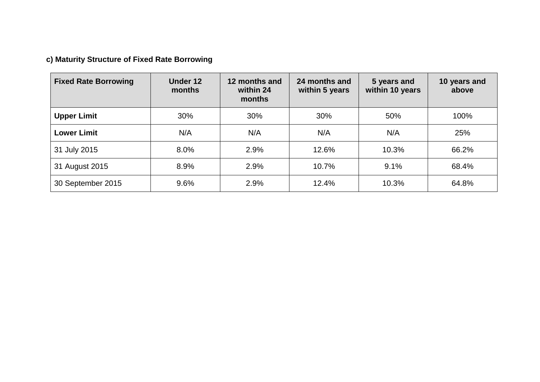# **c) Maturity Structure of Fixed Rate Borrowing**

| <b>Fixed Rate Borrowing</b> | Under 12<br>months | 12 months and<br>within 24<br>months | 24 months and<br>within 5 years | 5 years and<br>within 10 years | 10 years and<br>above |
|-----------------------------|--------------------|--------------------------------------|---------------------------------|--------------------------------|-----------------------|
| <b>Upper Limit</b>          | 30%                | 30%                                  | 30%                             | 50%                            | 100%                  |
| <b>Lower Limit</b>          | N/A                | N/A                                  | N/A                             | N/A                            | 25%                   |
| 31 July 2015                | 8.0%               | 2.9%                                 | 12.6%                           | 10.3%                          | 66.2%                 |
| 31 August 2015              | 8.9%               | 2.9%                                 | 10.7%                           | 9.1%                           | 68.4%                 |
| 30 September 2015           | 9.6%               | 2.9%                                 | 12.4%                           | 10.3%                          | 64.8%                 |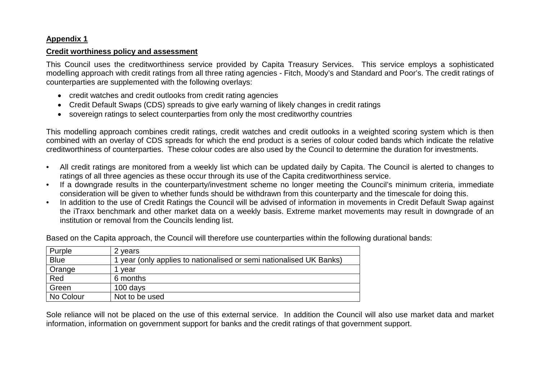### **Appendix 1**

### **Credit worthiness policy and assessment**

This Council uses the creditworthiness service provided by Capita Treasury Services. This service employs a sophisticated modelling approach with credit ratings from all three rating agencies - Fitch, Moody's and Standard and Poor's. The credit ratings of counterparties are supplemented with the following overlays:

- credit watches and credit outlooks from credit rating agencies
- Credit Default Swaps (CDS) spreads to give early warning of likely changes in credit ratings
- sovereign ratings to select counterparties from only the most creditworthy countries

This modelling approach combines credit ratings, credit watches and credit outlooks in a weighted scoring system which is then combined with an overlay of CDS spreads for which the end product is a series of colour coded bands which indicate the relative creditworthiness of counterparties. These colour codes are also used by the Council to determine the duration for investments.

- All credit ratings are monitored from a weekly list which can be updated daily by Capita. The Council is alerted to changes to ratings of all three agencies as these occur through its use of the Capita creditworthiness service.
- If a downgrade results in the counterparty/investment scheme no longer meeting the Council's minimum criteria, immediate consideration will be given to whether funds should be withdrawn from this counterparty and the timescale for doing this.
- In addition to the use of Credit Ratings the Council will be advised of information in movements in Credit Default Swap against the iTraxx benchmark and other market data on a weekly basis. Extreme market movements may result in downgrade of an institution or removal from the Councils lending list.

Based on the Capita approach, the Council will therefore use counterparties within the following durational bands:

| Purple      | 2 years                                                           |
|-------------|-------------------------------------------------------------------|
| <b>Blue</b> | year (only applies to nationalised or semi nationalised UK Banks) |
| Orange      | vear                                                              |
| Red         | 6 months                                                          |
| Green       | 100 days                                                          |
| No Colour   | Not to be used                                                    |

Sole reliance will not be placed on the use of this external service. In addition the Council will also use market data and market information, information on government support for banks and the credit ratings of that government support.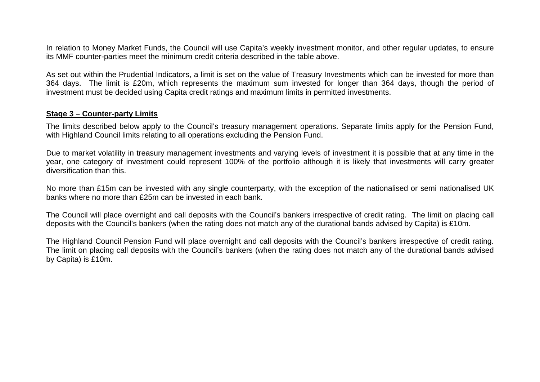In relation to Money Market Funds, the Council will use Capita's weekly investment monitor, and other regular updates, to ensure its MMF counter-parties meet the minimum credit criteria described in the table above.

As set out within the Prudential Indicators, a limit is set on the value of Treasury Investments which can be invested for more than 364 days. The limit is £20m, which represents the maximum sum invested for longer than 364 days, though the period of investment must be decided using Capita credit ratings and maximum limits in permitted investments.

#### **Stage 3 – Counter-party Limits**

The limits described below apply to the Council's treasury management operations. Separate limits apply for the Pension Fund, with Highland Council limits relating to all operations excluding the Pension Fund.

Due to market volatility in treasury management investments and varying levels of investment it is possible that at any time in the year, one category of investment could represent 100% of the portfolio although it is likely that investments will carry greater diversification than this.

No more than £15m can be invested with any single counterparty, with the exception of the nationalised or semi nationalised UK banks where no more than £25m can be invested in each bank.

The Council will place overnight and call deposits with the Council's bankers irrespective of credit rating. The limit on placing call deposits with the Council's bankers (when the rating does not match any of the durational bands advised by Capita) is £10m.

The Highland Council Pension Fund will place overnight and call deposits with the Council's bankers irrespective of credit rating. The limit on placing call deposits with the Council's bankers (when the rating does not match any of the durational bands advised by Capita) is £10m.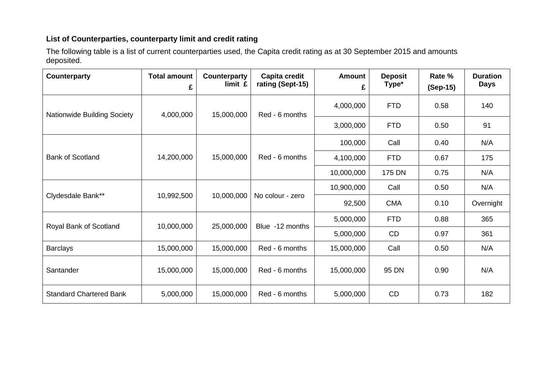### **List of Counterparties, counterparty limit and credit rating**

The following table is a list of current counterparties used, the Capita credit rating as at 30 September 2015 and amounts deposited.

| <b>Counterparty</b>            | <b>Total amount</b><br>£ | Counterparty<br>limit £ | Capita credit<br>rating (Sept-15) | <b>Amount</b><br>£ | <b>Deposit</b><br>Type* | Rate %<br>(Sep-15) | <b>Duration</b><br><b>Days</b> |
|--------------------------------|--------------------------|-------------------------|-----------------------------------|--------------------|-------------------------|--------------------|--------------------------------|
| Nationwide Building Society    | 4,000,000                | 15,000,000              | Red - 6 months                    | 4,000,000          | <b>FTD</b>              | 0.58               | 140                            |
|                                |                          |                         |                                   | 3,000,000          | <b>FTD</b>              | 0.50               | 91                             |
| <b>Bank of Scotland</b>        | 14,200,000               | 15,000,000              | Red - 6 months                    | 100,000            | Call                    | 0.40               | N/A                            |
|                                |                          |                         |                                   | 4,100,000          | <b>FTD</b>              | 0.67               | 175                            |
|                                |                          |                         |                                   | 10,000,000         | 175 DN                  | 0.75               | N/A                            |
| Clydesdale Bank**              | 10,992,500               | 10,000,000              | No colour - zero                  | 10,900,000         | Call                    | 0.50               | N/A                            |
|                                |                          |                         |                                   | 92,500             | <b>CMA</b>              | 0.10               | Overnight                      |
| Royal Bank of Scotland         | 10,000,000               | 25,000,000              | Blue -12 months                   | 5,000,000          | <b>FTD</b>              | 0.88               | 365                            |
|                                |                          |                         |                                   | 5,000,000          | CD                      | 0.97               | 361                            |
| <b>Barclays</b>                | 15,000,000               | 15,000,000              | Red - 6 months                    | 15,000,000         | Call                    | 0.50               | N/A                            |
| Santander                      | 15,000,000               | 15,000,000              | Red - 6 months                    | 15,000,000         | 95 DN                   | 0.90               | N/A                            |
| <b>Standard Chartered Bank</b> | 5,000,000                | 15,000,000              | Red - 6 months                    | 5,000,000          | CD                      | 0.73               | 182                            |